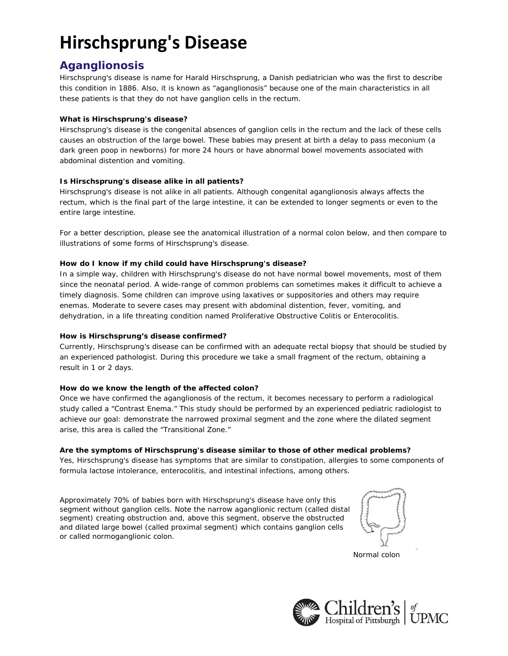# **Hirschsprung's Disease**

# **Aganglionosis**

Hirschsprung's disease is name for Harald Hirschsprung, a Danish pediatrician who was the first to describe this condition in 1886. Also, it is known as "aganglionosis" because one of the main characteristics in all these patients is that they do not have ganglion cells in the rectum.

# **What is Hirschsprung's disease?**

Hirschsprung's disease is the congenital absences of ganglion cells in the rectum and the lack of these cells causes an obstruction of the large bowel. These babies may present at birth a delay to pass meconium (a dark green poop in newborns) for more 24 hours or have abnormal bowel movements associated with abdominal distention and vomiting.

# **Is Hirschsprung's disease alike in all patients?**

Hirschsprung's disease is not alike in all patients. Although congenital aganglionosis always affects the rectum, which is the final part of the large intestine, it can be extended to longer segments or even to the entire large intestine.

For a better description, please see the anatomical illustration of a normal colon below, and then compare to illustrations of some forms of Hirschsprung's disease.

# **How do I know if my child could have Hirschsprung's disease?**

In a simple way, children with Hirschsprung's disease do not have normal bowel movements, most of them since the neonatal period. A wide-range of common problems can sometimes makes it difficult to achieve a timely diagnosis. Some children can improve using laxatives or suppositories and others may require enemas. Moderate to severe cases may present with abdominal distention, fever, vomiting, and dehydration, in a life threating condition named Proliferative Obstructive Colitis or Enterocolitis.

# **How is Hirschsprung's disease confirmed?**

Currently, Hirschsprung's disease can be confirmed with an adequate rectal biopsy that should be studied by an experienced pathologist. During this procedure we take a small fragment of the rectum, obtaining a result in 1 or 2 days.

# **How do we know the length of the affected colon?**

Once we have confirmed the aganglionosis of the rectum, it becomes necessary to perform a radiological study called a "Contrast Enema." This study should be performed by an experienced pediatric radiologist to achieve our goal: demonstrate the narrowed proximal segment and the zone where the dilated segment arise, this area is called the "Transitional Zone."

# **Are the symptoms of Hirschsprung's disease similar to those of other medical problems?**

Yes, Hirschsprung's disease has symptoms that are similar to constipation, allergies to some components of formula lactose intolerance, enterocolitis, and intestinal infections, among others.

Approximately 70% of babies born with Hirschsprung's disease have only this segment without ganglion cells. Note the narrow aganglionic rectum (called distal segment) creating obstruction and, above this segment, observe the obstructed and dilated large bowel (called proximal segment) which contains ganglion cells or called normoganglionic colon.

*Normal colon*

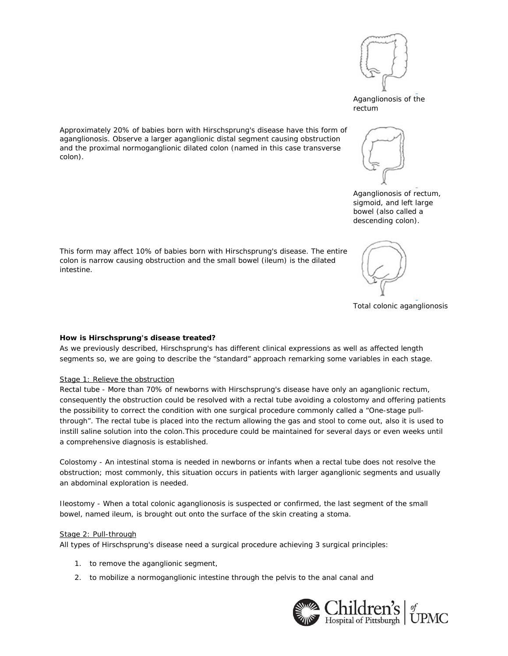

*Aganglionosis of the rectum*

*Aganglionosis of rectum, sigmoid, and left large bowel (also called a descending colon).*

Approximately 20% of babies born with Hirschsprung's disease have this form of aganglionosis. Observe a larger aganglionic distal segment causing obstruction and the proximal normoganglionic dilated colon (named in this case transverse colon).





*Total colonic aganglionosis*

#### **How is Hirschsprung's disease treated?**

As we previously described, Hirschsprung's has different clinical expressions as well as affected length segments so, we are going to describe the "standard" approach remarking some variables in each stage.

#### Stage 1: Relieve the obstruction

Rectal tube - More than 70% of newborns with Hirschsprung's disease have only an aganglionic rectum, consequently the obstruction could be resolved with a rectal tube avoiding a colostomy and offering patients the possibility to correct the condition with one surgical procedure commonly called a "One-stage pullthrough". The rectal tube is placed into the rectum allowing the gas and stool to come out, also it is used to instill saline solution into the colon.This procedure could be maintained for several days or even weeks until a comprehensive diagnosis is established.

Colostomy - An intestinal stoma is needed in newborns or infants when a rectal tube does not resolve the obstruction; most commonly, this situation occurs in patients with larger aganglionic segments and usually an abdominal exploration is needed.

Ileostomy - When a total colonic aganglionosis is suspected or confirmed, the last segment of the small bowel, named ileum, is brought out onto the surface of the skin creating a stoma.

### Stage 2: Pull-through

All types of Hirschsprung's disease need a surgical procedure achieving 3 surgical principles:

- 1. to remove the aganglionic segment,
- 2. to mobilize a normoganglionic intestine through the pelvis to the anal canal and

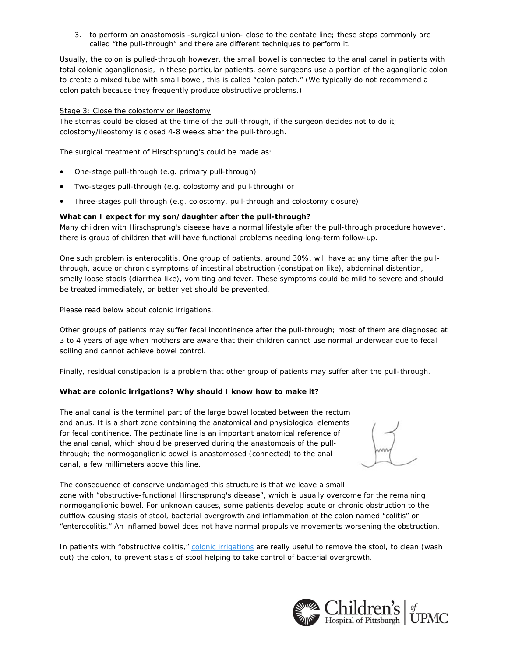3. to perform an anastomosis -surgical union- close to the dentate line; these steps commonly are called "the pull-through" and there are different techniques to perform it.

Usually, the colon is pulled-through however, the small bowel is connected to the anal canal in patients with total colonic aganglionosis, in these particular patients, some surgeons use a portion of the aganglionic colon to create a mixed tube with small bowel, this is called "colon patch." (We typically do not recommend a colon patch because they frequently produce obstructive problems.)

#### Stage 3: Close the colostomy or ileostomy

The stomas could be closed at the time of the pull-through, if the surgeon decides not to do it; colostomy/ileostomy is closed 4-8 weeks after the pull-through.

The surgical treatment of Hirschsprung's could be made as:

- One-stage pull-through (e.g. primary pull-through)
- Two-stages pull-through (e.g. colostomy and pull-through) or
- Three-stages pull-through (e.g. colostomy, pull-through and colostomy closure)

#### **What can I expect for my son/daughter after the pull-through?**

Many children with Hirschsprung's disease have a normal lifestyle after the pull-through procedure however, there is group of children that will have functional problems needing long-term follow-up.

One such problem is enterocolitis. One group of patients, around 30%, will have at any time after the pullthrough, acute or chronic symptoms of intestinal obstruction (constipation like), abdominal distention, smelly loose stools (diarrhea like), vomiting and fever. These symptoms could be mild to severe and should be treated immediately, or better yet should be prevented.

Please read below about colonic irrigations.

Other groups of patients may suffer fecal incontinence after the pull-through; most of them are diagnosed at 3 to 4 years of age when mothers are aware that their children cannot use normal underwear due to fecal soiling and cannot achieve bowel control.

Finally, residual constipation is a problem that other group of patients may suffer after the pull-through.

# **What are colonic irrigations? Why should I know how to make it?**

The anal canal is the terminal part of the large bowel located between the rectum and anus. It is a short zone containing the anatomical and physiological elements for fecal continence. The pectinate line is an important anatomical reference of the anal canal, which should be preserved during the anastomosis of the pullthrough; the normoganglionic bowel is anastomosed (connected) to the anal canal, a few millimeters above this line.

The consequence of conserve undamaged this structure is that we leave a small zone with "obstructive-functional Hirschsprung's disease", which is usually overcome for the remaining normoganglionic bowel. For unknown causes, some patients develop acute or chronic obstruction to the outflow causing stasis of stool, bacterial overgrowth and inflammation of the colon named "colitis" or "enterocolitis." An inflamed bowel does not have normal propulsive movements worsening the obstruction.

In patients with "obstructive colitis," colonic irrigations are really useful to remove the stool, to clean (wash out) the colon, to prevent stasis of stool helping to take control of bacterial overgrowth.